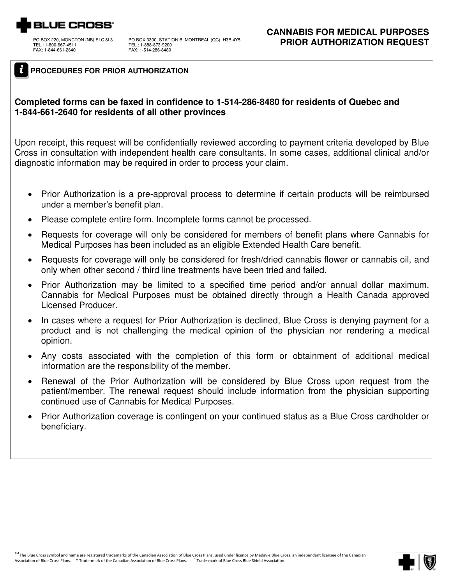# 3LUE CROSS<sup>.</sup>

 TEL.: 1-800-667-4511 FAX: 1-844-661-2640

PO BOX 3300, STATION B, MONTREAL (QC) H3B 4Y5 TEL.: 1-888-873-9200 FAX: 1-514-286-8480

### *i* **PROCEDURES FOR PRIOR AUTHORIZATION**

### **Completed forms can be faxed in confidence to 1-514-286-8480 for residents of Quebec and 1-844-661-2640 for residents of all other provinces**

Upon receipt, this request will be confidentially reviewed according to payment criteria developed by Blue Cross in consultation with independent health care consultants. In some cases, additional clinical and/or diagnostic information may be required in order to process your claim.

- Prior Authorization is a pre-approval process to determine if certain products will be reimbursed under a member's benefit plan.
- Please complete entire form. Incomplete forms cannot be processed.
- Requests for coverage will only be considered for members of benefit plans where Cannabis for Medical Purposes has been included as an eligible Extended Health Care benefit.
- Requests for coverage will only be considered for fresh/dried cannabis flower or cannabis oil, and only when other second / third line treatments have been tried and failed.
- Prior Authorization may be limited to a specified time period and/or annual dollar maximum. Cannabis for Medical Purposes must be obtained directly through a Health Canada approved Licensed Producer.
- In cases where a request for Prior Authorization is declined, Blue Cross is denying payment for a product and is not challenging the medical opinion of the physician nor rendering a medical opinion.
- Any costs associated with the completion of this form or obtainment of additional medical information are the responsibility of the member.
- Renewal of the Prior Authorization will be considered by Blue Cross upon request from the patient/member. The renewal request should include information from the physician supporting continued use of Cannabis for Medical Purposes.
- Prior Authorization coverage is contingent on your continued status as a Blue Cross cardholder or beneficiary.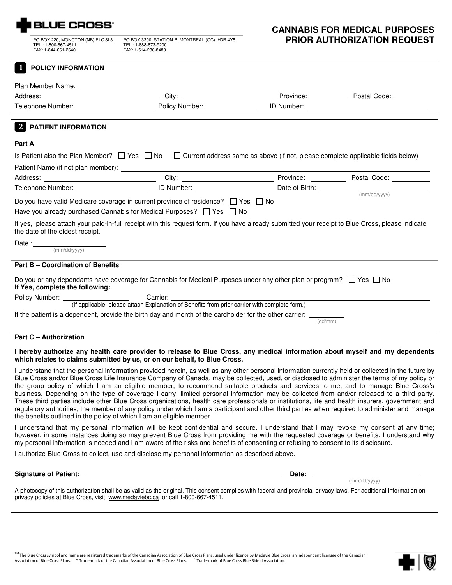

FAX: 1-844-661-2640

FAX: 1-514-286-8480

## **CANNABIS FOR MEDICAL PURPOSES** PO BOX 220, MONCTON (NB) E1C 8L3 PO BOX 3300, STATION B, MONTREAL (QC) H3B 4Y5 <br>TEL.: 1-800-667-4511 TEL.: 1-888-873-9200

| 1<br><b>POLICY INFORMATION</b>                                                                                                                                                                                                                                                                                                                                                                                                                                                                                                                                                                                                                                                                                                                                                                                                                                                                                                                                   |                                                                                                                                                                              |       |              |  |  |
|------------------------------------------------------------------------------------------------------------------------------------------------------------------------------------------------------------------------------------------------------------------------------------------------------------------------------------------------------------------------------------------------------------------------------------------------------------------------------------------------------------------------------------------------------------------------------------------------------------------------------------------------------------------------------------------------------------------------------------------------------------------------------------------------------------------------------------------------------------------------------------------------------------------------------------------------------------------|------------------------------------------------------------------------------------------------------------------------------------------------------------------------------|-------|--------------|--|--|
|                                                                                                                                                                                                                                                                                                                                                                                                                                                                                                                                                                                                                                                                                                                                                                                                                                                                                                                                                                  |                                                                                                                                                                              |       |              |  |  |
|                                                                                                                                                                                                                                                                                                                                                                                                                                                                                                                                                                                                                                                                                                                                                                                                                                                                                                                                                                  |                                                                                                                                                                              |       |              |  |  |
|                                                                                                                                                                                                                                                                                                                                                                                                                                                                                                                                                                                                                                                                                                                                                                                                                                                                                                                                                                  |                                                                                                                                                                              |       |              |  |  |
| <b>2 PATIENT INFORMATION</b>                                                                                                                                                                                                                                                                                                                                                                                                                                                                                                                                                                                                                                                                                                                                                                                                                                                                                                                                     |                                                                                                                                                                              |       |              |  |  |
| Part A                                                                                                                                                                                                                                                                                                                                                                                                                                                                                                                                                                                                                                                                                                                                                                                                                                                                                                                                                           |                                                                                                                                                                              |       |              |  |  |
|                                                                                                                                                                                                                                                                                                                                                                                                                                                                                                                                                                                                                                                                                                                                                                                                                                                                                                                                                                  | Is Patient also the Plan Member? $\Box$ Yes $\Box$ No $\Box$ Current address same as above (if not, please complete applicable fields below)                                 |       |              |  |  |
|                                                                                                                                                                                                                                                                                                                                                                                                                                                                                                                                                                                                                                                                                                                                                                                                                                                                                                                                                                  |                                                                                                                                                                              |       |              |  |  |
|                                                                                                                                                                                                                                                                                                                                                                                                                                                                                                                                                                                                                                                                                                                                                                                                                                                                                                                                                                  |                                                                                                                                                                              |       |              |  |  |
|                                                                                                                                                                                                                                                                                                                                                                                                                                                                                                                                                                                                                                                                                                                                                                                                                                                                                                                                                                  | Telephone Number: <u>ID Number:</u> ID Number: Date of Birth: (mm/dd/yyyy)                                                                                                   |       |              |  |  |
|                                                                                                                                                                                                                                                                                                                                                                                                                                                                                                                                                                                                                                                                                                                                                                                                                                                                                                                                                                  | Do you have valid Medicare coverage in current province of residence? $\Box$ Yes $\Box$ No<br>Have you already purchased Cannabis for Medical Purposes? $\Box$ Yes $\Box$ No |       |              |  |  |
|                                                                                                                                                                                                                                                                                                                                                                                                                                                                                                                                                                                                                                                                                                                                                                                                                                                                                                                                                                  | If yes, please attach your paid-in-full receipt with this request form. If you have already submitted your receipt to Blue Cross, please indicate                            |       |              |  |  |
| the date of the oldest receipt.                                                                                                                                                                                                                                                                                                                                                                                                                                                                                                                                                                                                                                                                                                                                                                                                                                                                                                                                  |                                                                                                                                                                              |       |              |  |  |
| $Date:$ $(mm/dd/yyyy)$                                                                                                                                                                                                                                                                                                                                                                                                                                                                                                                                                                                                                                                                                                                                                                                                                                                                                                                                           |                                                                                                                                                                              |       |              |  |  |
| <b>Part B - Coordination of Benefits</b>                                                                                                                                                                                                                                                                                                                                                                                                                                                                                                                                                                                                                                                                                                                                                                                                                                                                                                                         |                                                                                                                                                                              |       |              |  |  |
| If Yes, complete the following:                                                                                                                                                                                                                                                                                                                                                                                                                                                                                                                                                                                                                                                                                                                                                                                                                                                                                                                                  | Do you or any dependants have coverage for Cannabis for Medical Purposes under any other plan or program? $\Box$ Yes $\Box$ No                                               |       |              |  |  |
|                                                                                                                                                                                                                                                                                                                                                                                                                                                                                                                                                                                                                                                                                                                                                                                                                                                                                                                                                                  |                                                                                                                                                                              |       |              |  |  |
|                                                                                                                                                                                                                                                                                                                                                                                                                                                                                                                                                                                                                                                                                                                                                                                                                                                                                                                                                                  | (If applicable, please attach Explanation of Benefits from prior carrier with complete form.)                                                                                |       |              |  |  |
|                                                                                                                                                                                                                                                                                                                                                                                                                                                                                                                                                                                                                                                                                                                                                                                                                                                                                                                                                                  | If the patient is a dependent, provide the birth day and month of the cardholder for the other carrier: $\frac{1}{\text{dd/mm}}$                                             |       |              |  |  |
| <b>Part C - Authorization</b>                                                                                                                                                                                                                                                                                                                                                                                                                                                                                                                                                                                                                                                                                                                                                                                                                                                                                                                                    |                                                                                                                                                                              |       |              |  |  |
| I hereby authorize any health care provider to release to Blue Cross, any medical information about myself and my dependents<br>which relates to claims submitted by us, or on our behalf, to Blue Cross.                                                                                                                                                                                                                                                                                                                                                                                                                                                                                                                                                                                                                                                                                                                                                        |                                                                                                                                                                              |       |              |  |  |
| I understand that the personal information provided herein, as well as any other personal information currently held or collected in the future by<br>Blue Cross and/or Blue Cross Life Insurance Company of Canada, may be collected, used, or disclosed to administer the terms of my policy or<br>the group policy of which I am an eligible member, to recommend suitable products and services to me, and to manage Blue Cross's<br>business. Depending on the type of coverage I carry, limited personal information may be collected from and/or released to a third party.<br>These third parties include other Blue Cross organizations, health care professionals or institutions, life and health insurers, government and<br>regulatory authorities, the member of any policy under which I am a participant and other third parties when required to administer and manage<br>the benefits outlined in the policy of which I am an eligible member. |                                                                                                                                                                              |       |              |  |  |
| I understand that my personal information will be kept confidential and secure. I understand that I may revoke my consent at any time;<br>however, in some instances doing so may prevent Blue Cross from providing me with the requested coverage or benefits. I understand why<br>my personal information is needed and I am aware of the risks and benefits of consenting or refusing to consent to its disclosure.                                                                                                                                                                                                                                                                                                                                                                                                                                                                                                                                           |                                                                                                                                                                              |       |              |  |  |
| I authorize Blue Cross to collect, use and disclose my personal information as described above.                                                                                                                                                                                                                                                                                                                                                                                                                                                                                                                                                                                                                                                                                                                                                                                                                                                                  |                                                                                                                                                                              |       |              |  |  |
|                                                                                                                                                                                                                                                                                                                                                                                                                                                                                                                                                                                                                                                                                                                                                                                                                                                                                                                                                                  |                                                                                                                                                                              | Date: | (mm/dd/yyyy) |  |  |
| A photocopy of this authorization shall be as valid as the original. This consent complies with federal and provincial privacy laws. For additional information on<br>privacy policies at Blue Cross, visit www.medaviebc.ca or call 1-800-667-4511.                                                                                                                                                                                                                                                                                                                                                                                                                                                                                                                                                                                                                                                                                                             |                                                                                                                                                                              |       |              |  |  |

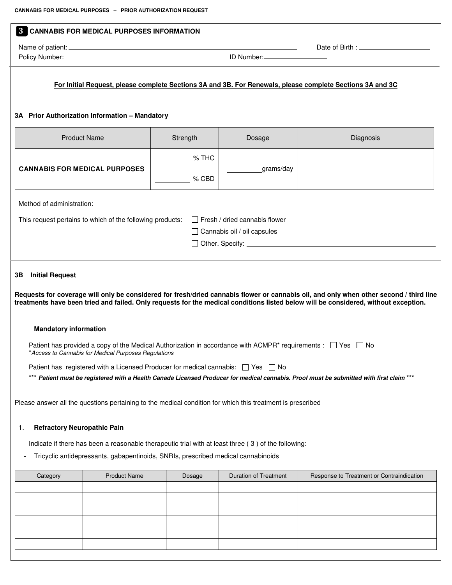| $\mathbf{3}$<br><b>CANNABIS FOR MEDICAL PURPOSES INFORMATION</b>                                                                                                                                                                                                                                                                                                                                  |                              |                                                                |                                           |  |
|---------------------------------------------------------------------------------------------------------------------------------------------------------------------------------------------------------------------------------------------------------------------------------------------------------------------------------------------------------------------------------------------------|------------------------------|----------------------------------------------------------------|-------------------------------------------|--|
|                                                                                                                                                                                                                                                                                                                                                                                                   |                              |                                                                |                                           |  |
| For Initial Request, please complete Sections 3A and 3B. For Renewals, please complete Sections 3A and 3C<br>3A Prior Authorization Information - Mandatory                                                                                                                                                                                                                                       |                              |                                                                |                                           |  |
| <b>Product Name</b>                                                                                                                                                                                                                                                                                                                                                                               | Strength                     | Dosage                                                         | Diagnosis                                 |  |
| <b>CANNABIS FOR MEDICAL PURPOSES</b>                                                                                                                                                                                                                                                                                                                                                              | % THC<br>$\frac{1}{2}$ % CBD | grams/day                                                      |                                           |  |
|                                                                                                                                                                                                                                                                                                                                                                                                   |                              |                                                                |                                           |  |
| This request pertains to which of the following products:                                                                                                                                                                                                                                                                                                                                         |                              | Fresh / dried cannabis flower<br>□ Cannabis oil / oil capsules |                                           |  |
| <b>Initial Request</b>                                                                                                                                                                                                                                                                                                                                                                            |                              |                                                                |                                           |  |
| <b>Mandatory information</b>                                                                                                                                                                                                                                                                                                                                                                      |                              |                                                                |                                           |  |
| Patient has provided a copy of the Medical Authorization in accordance with ACMPR <sup>*</sup> requirements : $\Box$ Yes $\Box$ No<br>*Access to Cannabis for Medical Purposes Regulations                                                                                                                                                                                                        |                              |                                                                |                                           |  |
| Patient has registered with a Licensed Producer for medical cannabis: $\Box$ Yes $\Box$ No<br>*** Patient must be registered with a Health Canada Licensed Producer for medical cannabis. Proof must be submitted with first claim ***                                                                                                                                                            |                              |                                                                |                                           |  |
|                                                                                                                                                                                                                                                                                                                                                                                                   |                              |                                                                |                                           |  |
| <b>Refractory Neuropathic Pain</b><br>1.                                                                                                                                                                                                                                                                                                                                                          |                              |                                                                |                                           |  |
| Indicate if there has been a reasonable therapeutic trial with at least three (3) of the following:<br>Tricyclic antidepressants, gabapentinoids, SNRIs, prescribed medical cannabinoids                                                                                                                                                                                                          |                              |                                                                |                                           |  |
| <b>Product Name</b><br>Category                                                                                                                                                                                                                                                                                                                                                                   | Dosage                       | <b>Duration of Treatment</b>                                   | Response to Treatment or Contraindication |  |
|                                                                                                                                                                                                                                                                                                                                                                                                   |                              |                                                                |                                           |  |
|                                                                                                                                                                                                                                                                                                                                                                                                   |                              |                                                                |                                           |  |
| 3В<br>Requests for coverage will only be considered for fresh/dried cannabis flower or cannabis oil, and only when other second / third line<br>treatments have been tried and failed. Only requests for the medical conditions listed below will be considered, without exception.<br>Please answer all the questions pertaining to the medical condition for which this treatment is prescribed |                              |                                                                |                                           |  |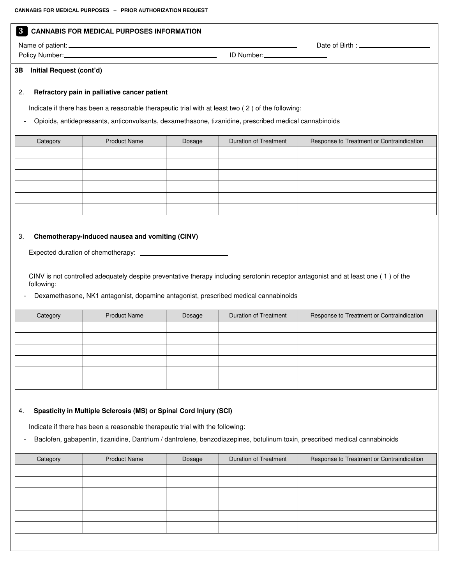#### **<sup>3</sup> CANNABIS FOR MEDICAL PURPOSES INFORMATION**

Name of patient: Date of Birth :

Policy Number: ID Number:

#### **3B Initial Request (cont'd)**

#### 2. **Refractory pain in palliative cancer patient**

Indicate if there has been a reasonable therapeutic trial with at least two ( 2 ) of the following:

- Opioids, antidepressants, anticonvulsants, dexamethasone, tizanidine, prescribed medical cannabinoids

| Category | <b>Product Name</b> | Dosage | Duration of Treatment | Response to Treatment or Contraindication |
|----------|---------------------|--------|-----------------------|-------------------------------------------|
|          |                     |        |                       |                                           |
|          |                     |        |                       |                                           |
|          |                     |        |                       |                                           |
|          |                     |        |                       |                                           |
|          |                     |        |                       |                                           |
|          |                     |        |                       |                                           |

#### 3. **Chemotherapy-induced nausea and vomiting (CINV)**

Expected duration of chemotherapy:

CINV is not controlled adequately despite preventative therapy including serotonin receptor antagonist and at least one ( 1 ) of the following:

Dexamethasone, NK1 antagonist, dopamine antagonist, prescribed medical cannabinoids

| Category | <b>Product Name</b> | Dosage | Duration of Treatment | Response to Treatment or Contraindication |
|----------|---------------------|--------|-----------------------|-------------------------------------------|
|          |                     |        |                       |                                           |
|          |                     |        |                       |                                           |
|          |                     |        |                       |                                           |
|          |                     |        |                       |                                           |
|          |                     |        |                       |                                           |
|          |                     |        |                       |                                           |

#### 4. **Spasticity in Multiple Sclerosis (MS) or Spinal Cord Injury (SCI)**

Indicate if there has been a reasonable therapeutic trial with the following:

Baclofen, gabapentin, tizanidine, Dantrium / dantrolene, benzodiazepines, botulinum toxin, prescribed medical cannabinoids

| Category | <b>Product Name</b> | Dosage | <b>Duration of Treatment</b> | Response to Treatment or Contraindication |
|----------|---------------------|--------|------------------------------|-------------------------------------------|
|          |                     |        |                              |                                           |
|          |                     |        |                              |                                           |
|          |                     |        |                              |                                           |
|          |                     |        |                              |                                           |
|          |                     |        |                              |                                           |
|          |                     |        |                              |                                           |
|          |                     |        |                              |                                           |